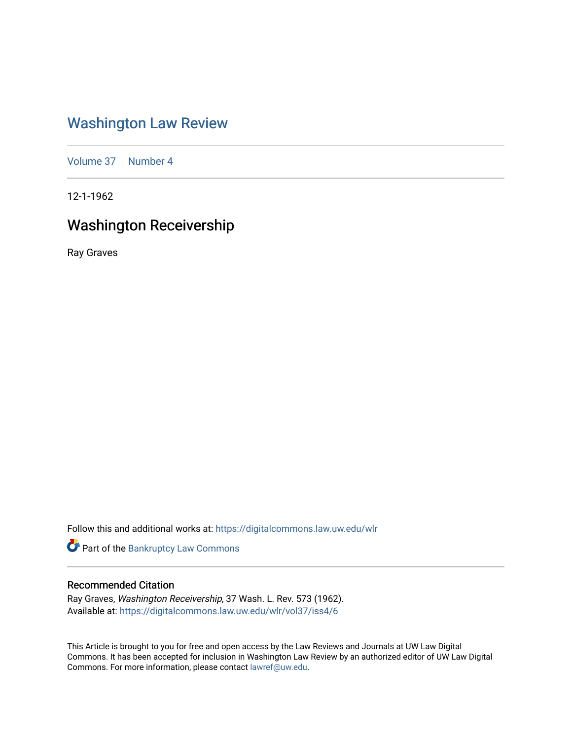# [Washington Law Review](https://digitalcommons.law.uw.edu/wlr)

[Volume 37](https://digitalcommons.law.uw.edu/wlr/vol37) | [Number 4](https://digitalcommons.law.uw.edu/wlr/vol37/iss4)

12-1-1962

# Washington Receivership

Ray Graves

Follow this and additional works at: [https://digitalcommons.law.uw.edu/wlr](https://digitalcommons.law.uw.edu/wlr?utm_source=digitalcommons.law.uw.edu%2Fwlr%2Fvol37%2Fiss4%2F6&utm_medium=PDF&utm_campaign=PDFCoverPages)

Part of the [Bankruptcy Law Commons](http://network.bepress.com/hgg/discipline/583?utm_source=digitalcommons.law.uw.edu%2Fwlr%2Fvol37%2Fiss4%2F6&utm_medium=PDF&utm_campaign=PDFCoverPages) 

## Recommended Citation

Ray Graves, Washington Receivership, 37 Wash. L. Rev. 573 (1962). Available at: [https://digitalcommons.law.uw.edu/wlr/vol37/iss4/6](https://digitalcommons.law.uw.edu/wlr/vol37/iss4/6?utm_source=digitalcommons.law.uw.edu%2Fwlr%2Fvol37%2Fiss4%2F6&utm_medium=PDF&utm_campaign=PDFCoverPages)

This Article is brought to you for free and open access by the Law Reviews and Journals at UW Law Digital Commons. It has been accepted for inclusion in Washington Law Review by an authorized editor of UW Law Digital Commons. For more information, please contact [lawref@uw.edu](mailto:lawref@uw.edu).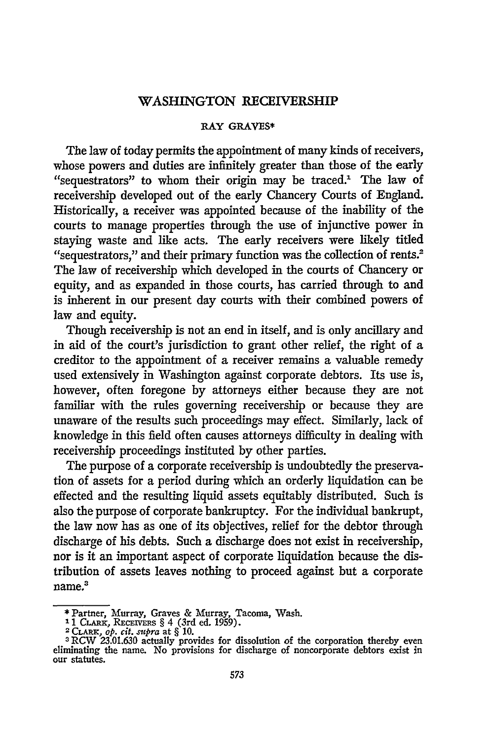### **WASHINGTON RECEIVERSHIP**

#### RAY GRAVES\*

The law of today permits the appointment of many kinds of receivers, whose powers and duties are infinitely greater than those of the early "sequestrators" to whom their origin may be traced.<sup>1</sup> The law of receivership developed out of the early Chancery Courts of England. Historically, a receiver was appointed because of the inability of the courts to manage properties through the use of injunctive power in staying waste and like acts. The early receivers were likely titled "sequestrators," and their primary function was the collection of rents.<sup>2</sup> The law of receivership which developed in the courts of Chancery or equity, and as expanded in those courts, has carried through to and is inherent in our present day courts with their combined powers of law and equity.

Though receivership is not an end in itself, and is only ancillary and in aid of the court's jurisdiction to grant other relief, the right of a creditor to the appointment of a receiver remains a valuable remedy used extensively in Washington against corporate debtors. Its use is, however, often foregone by attorneys either because they are not familiar with the rules governing receivership or because they are unaware of the results such proceedings may effect. Similarly, lack of knowledge in this field often causes attorneys difficulty in dealing with receivership proceedings instituted **by** other parties.

The purpose of a corporate receivership is undoubtedly the preservation of assets for a period during which an orderly liquidation can be effected and the resulting liquid assets equitably distributed. Such is also the purpose of corporate bankruptcy. For the individual bankrupt, the law now has as one of its objectives, relief for the debtor through discharge of his debts. Such a discharge does not exist in receivership, nor is it an important aspect of corporate liquidation because the distribution of assets leaves nothing to proceed against but a corporate name.<sup>3</sup>

Fartner, Murray, Graves & Murray, Tacoma, Wash.<br>
<sup>1</sup> 1 CLARK, RECEIVERS § 4 (3rd ed. 1959).<br>
<sup>2</sup> CLARK, *op. cit. supra* at § 10.<br>
<sup>3</sup> RCW 23.01.630 actually provides for dissolution of the corporation thereby ever

eliminating the name. No provisions for discharge of noncorporate debtors exist in our statutes.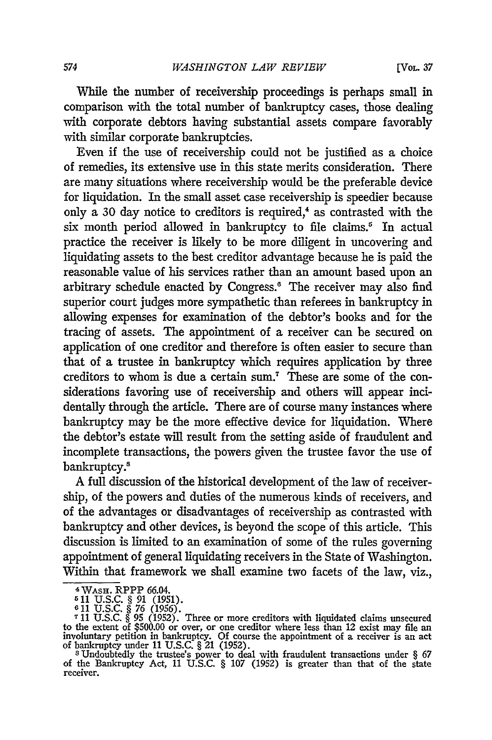While the number of receivership proceedings is perhaps small in comparison with the total number of bankruptcy cases, those dealing with corporate debtors having substantial assets compare favorably with similar corporate bankruptcies.

Even if the use of receivership could not be justified as a choice of remedies, its extensive use in this state merits consideration. There are many situations where receivership would be the preferable device for liquidation. In the small asset case receivership is speedier because only a 30 day notice to creditors is required,<sup>4</sup> as contrasted with the six month period allowed in bankruptcy to file claims.<sup>5</sup> In actual practice the receiver is likely to be more diligent in uncovering and liquidating assets to the best creditor advantage because he is paid the reasonable value of his services rather than an amount based upon an arbitrary schedule enacted by Congress.<sup>6</sup> The receiver may also find superior court judges more sympathetic than referees in bankruptcy in allowing expenses for examination of the debtor's books and for the tracing of assets. The appointment of a receiver can be secured on application of one creditor and therefore is often easier to secure than that of a trustee in bankruptcy which requires application by three creditors to whom is due a certain sum.' These are some of the considerations favoring use of receivership and others will appear inddentally through the article. There are of course many instances where bankruptcy may be the more effective device for liquidation. Where the debtor's estate will result from the setting aside of fraudulent and incomplete transactions, the powers given the trustee favor the use of bankruptcy.<sup>8</sup>

A full discussion of the historical development of the law of receivership, of the powers and duties of the numerous kinds of receivers, and of the advantages or disadvantages of receivership as contrasted with bankruptcy and other devices, is beyond the scope of this article. This discussion is limited to an examination of some of the rules governing appointment of general liquidating receivers in the State of Washington. Within that framework we shall examine two facets of the law, viz.,

**<sup>-</sup>** WAsH. RPPP 66.04.

**<sup>511</sup>**U.S.C. § 91 (1951). 611 U.S.C. § 76 (1956).

**<sup>7</sup>**11 U.S.C. § 95 (1952). Three or more creditors with liquidated claims unsecured to the extent of \$500.00 or over, or one creditor where less than 12 exist may file an involuntary petition in bankruptcy. Of course the appointment of a receiver is an act

of bankruptcy under 11 U.S.C. § 21 (1952).<br><sup>8</sup>Undoubtedly the trustee's power to deal with fraudulent transactions under § 67<br>of the Bankruptcy Act, 11 U.S.C. § 107 (1952) is greater than that of the state receiver.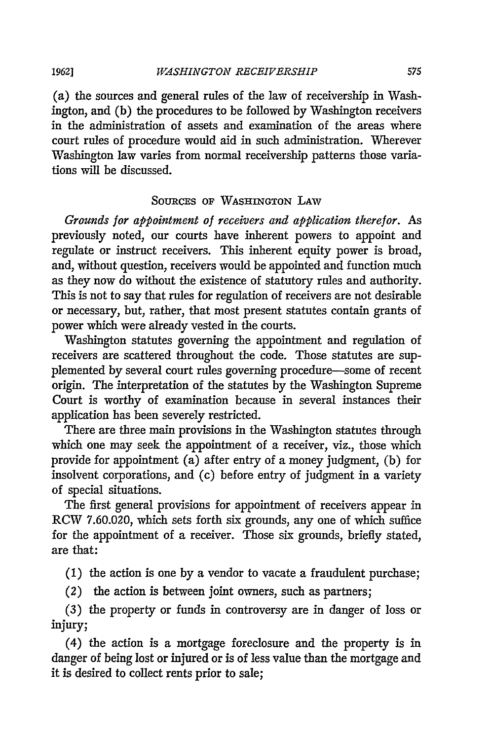(a) the sources and general rules of the law of receivership in Washington, and (b) the procedures to be followed by Washington receivers in the administration of assets and examination of the areas where court rules of procedure would aid in such administration. Wherever Washington law varies from normal receivership patterns those variations will be discussed.

### **SOURCES OF WASHINGTON** LAW

*Grounds for appointment of receivers and application therefor.* As previously noted, our courts have inherent powers to appoint and regulate or instruct receivers. This inherent equity power is broad, and, without question, receivers would be appointed and function much as they now do without the existence of statutory rules and authority. This is not to say that rules for regulation of receivers are not desirable or necessary, but, rather, that most present statutes contain grants of power which were already vested in the courts.

Washington statutes governing the appointment and regulation of receivers are scattered throughout the code. Those statutes are supplemented by several court rules governing procedure-some of recent origin. The interpretation of the statutes **by** the Washington Supreme Court is worthy of examination because in several instances their application has been severely restricted.

There are three main provisions in the Washington statutes through which one may seek the appointment of a receiver, viz., those which provide for appointment (a) after entry of a money judgment, (b) for insolvent corporations, and (c) before entry of judgment in a variety of special situations.

The first general provisions for appointment of receivers appear in RCW 7.60.020, which sets forth six grounds, any one of which suffice for the appointment of a receiver. Those six grounds, briefly stated, are that:

(1) the action is one **by** a vendor to vacate a fraudulent purchase;

(2) the action is between joint owners, such as partners;

(3) the property or funds in controversy are in danger of loss or injury;

(4) the action is a mortgage foreclosure and the property is in danger of being lost or injured or is of less value than the mortgage and it is desired to collect rents prior to sale;

*1962]*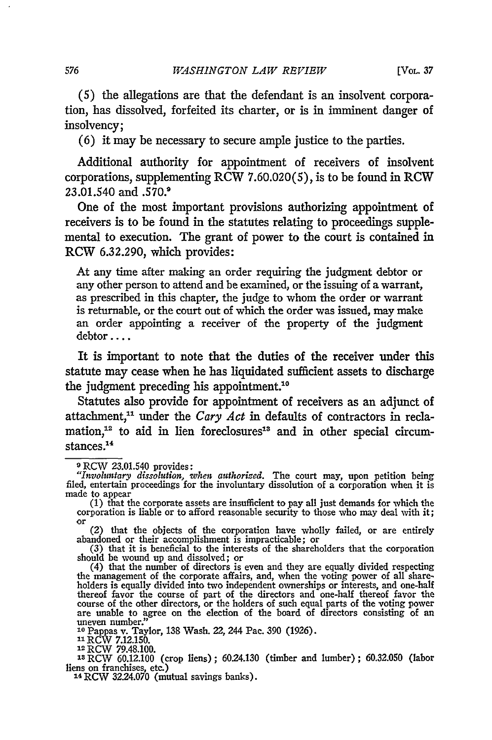(5) the allegations are that the defendant is an insolvent corporation, has dissolved, forfeited its charter, or is in imminent danger of insolvency;

(6) it may be necessary to secure ample justice to the parties.

Additional authority for appointment of receivers of insolvent corporations, supplementing RCW 7.60.020(5), is to be found in RCW 23.01.540 and .570.<sup>9</sup>

One of the most important provisions authorizing appointment of receivers is to be found in the statutes relating to proceedings supplemental to execution. The grant of power to the court is contained in RCW 6.32.290, which provides:

At any time after making an order requiring the judgment debtor or any other person to attend and be examined, or the issuing of a warrant, as prescribed in this chapter, the judge to whom the order or warrant is returnable, or the court out of which the order was issued, may make an order appointing a receiver of the property of the judgment debtor ....

It is important to note that the duties of the receiver under this statute may cease when he has liquidated sufficient assets to discharge the judgment preceding his appointment."

Statutes also provide for appointment of receivers as an adjunct of attachment," under the *Cary Act* in defaults of contractors in reclamation, $12$  to aid in lien foreclosures<sup>13</sup> and in other special circumstances.1 4

corporation is liable or to afford reasonable security to those who may deal with it;<br>or (2) that the objects of the corporation have wholly failed, or are entirely<br>abandoned or their accomplishment is impracticable; or<br>(3 thereof favor the course of part of the directors and one-half thereof favor the course of part of the directors and one-half thereof favor the course of the other directors, or the holders of such equal parts of the votin

10 Pappas v. Taylor, 138 Wash. 22, 244 Pac. 390 (1926)<br><sup>11</sup> RCW 7.12.150.<br><sup>12</sup> RCW 79.48.100.

<sup>18</sup> RCW 60.12.100 (crop liens); 60.24.130 (timber and lumber); 60.32.050 (labo liens on franchises, etc.)<br><sup>14</sup> RCW 32.24.070 (mutual savings banks).

<sup>9</sup>RCW 23.01.540 provides: *"Involuntary dissolution, when authorized.* The court may, upon petition being filed, entertain proceedings for the involuntary dissolution of a corporation when it is

made to appear (1) that the corporate assets are insufficient to pay all just demands for which the corporation is liable or to afford reasonable security to those who may deal with it;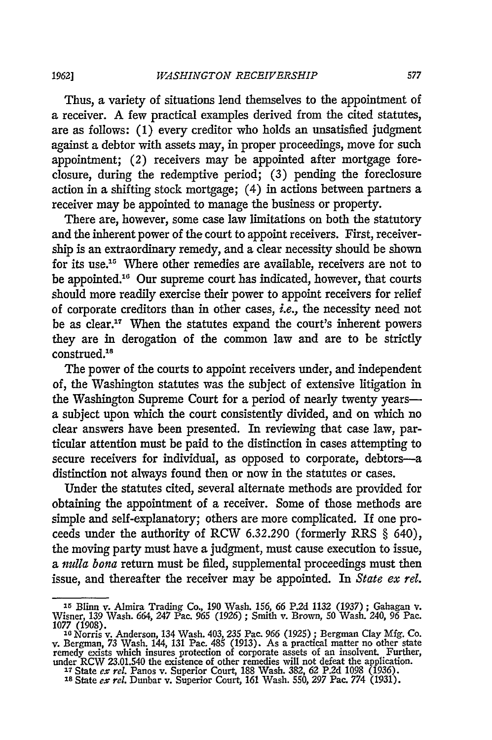*1962]*

Thus, a variety of situations lend themselves to the appointment of a receiver. A few practical examples derived from the cited statutes, are as follows: (1) every creditor who holds an unsatisfied judgment against a debtor with assets may, in proper proceedings, move for such appointment; (2) receivers may be appointed after mortgage foreclosure, during the redemptive period; (3) pending the foreclosure action in a shifting stock mortgage; (4) in actions between partners a receiver may be appointed to manage the business or property.

There are, however, some case law limitations on both the statutory and the inherent power of the court to appoint receivers. First, receivership is an extraordinary remedy, and a clear necessity should be shown for its use.<sup>15</sup> Where other remedies are available, receivers are not to be appointed.<sup>16</sup> Our supreme court has indicated, however, that courts should more readily exercise their power to appoint receivers for relief of corporate creditors than in other cases, *i.e.,* the necessity need not be as clear." When the statutes expand the court's inherent powers they are in derogation of the common law and are to be strictly construed.<sup>18</sup>

The power of the courts to appoint receivers under, and independent of, the Washington statutes was the subject of extensive litigation in the Washington Supreme Court for a period of nearly twenty yearsa subject upon which the court consistently divided, and on which no clear answers have been presented. In reviewing that case law, particular attention must be paid to the distinction in cases attempting to secure receivers for individual, as opposed to corporate, debtors-a distinction not always found then or now in the statutes or cases.

Under the statutes cited, several alternate methods are provided for obtaining the appointment of a receiver. Some of those methods are simple and self-explanatory; others are more complicated. If one proceeds under the authority of RCW 6.32.290 (formerly RRS § 640), the moving party must have a judgment, must cause execution to issue, a *indla bona* return must be filed, supplemental proceedings must then issue, and thereafter the receiver may be appointed. In *State ex rel.*

<sup>15</sup> Blinn v. Almira Trading Co., 190 Wash. *156, 66* P.2d 1132 (1937) ; Gahagan v.

Wisner, 139 Wash. 664, 247 Pac. 965 (1926); Smith v. Brown, 50 Wash. 240, 96 Pac. 1077 (1908).<br>1077 (1908).<br>1087, Wash. 403, 235 Pac. 966 (1925); Bergman Clay Mfg. Co.<br>10 Norris v. Anderson, 134 Wash. 403, 235 Pac. 966 (19 under RCW 23.01.540 the existence of other remedies will not defeat the application<br><sup>17</sup> State *ex rel*. Panos v. Superior Court, 188 Wash. 382, 62 P.2d 1098 (1936).<br><sup>18</sup> State *ex rel*. Dunbar v. Superior Court. 161 Wash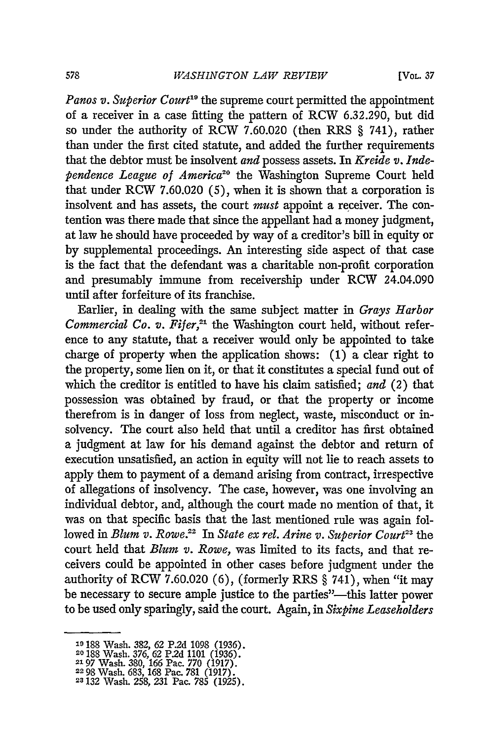Panos v. Superior Court<sup>19</sup> the supreme court permitted the appointment of a receiver in a case fitting the pattern of RCW 6.32.290, but did so under the authority of RCW 7.60.020 (then RRS § 741), rather than under the first cited statute, and added the further requirements that the debtor must be insolvent *and* possess assets. In *Kreide v. Independence League of America20* the Washington Supreme Court held that under RCW 7.60.020 (5), when it is shown that a corporation is insolvent and has assets, the court *must* appoint a receiver. The contention was there made that since the appellant had a money judgment, at law he should have proceeded by way of a creditor's bill in equity or by supplemental proceedings. An interesting side aspect of that case is the fact that the defendant was a charitable non-profit corporation and presumably immune from receivership under RCW 24.04.090 until after forfeiture of its franchise.

Earlier, in dealing with the same subject matter in *Grays Harbor Commercial Co. v. Fifer*,<sup>21</sup> the Washington court held, without reference to any statute, that a receiver would only be appointed to take charge of property when the application shows: (1) a clear right to the property, some lien on it, or that it constitutes a special fund out of which the creditor is entitled to have his claim satisfied; *and* (2) that possession was obtained by fraud, or that the property or income therefrom is in danger of loss from neglect, waste, misconduct or insolvency. The court also held that until a creditor has first obtained a judgment at law for his demand against the debtor and return of execution unsatisfied, an action in equity will not lie to reach assets to apply them to payment of a demand arising from contract, irrespective of allegations of insolvency. The case, however, was one involving an individual debtor, and, although the court made no mention of that, it was on that specific basis that the last mentioned rule was again followed in *Blum v. Rowe*.<sup>22</sup> In *State ex rel. Arine v. Superior Court*<sup>23</sup> the court held that *Blum v. Rowe,* was limited to its facts, and that receivers could be appointed in other cases before judgment under the authority of RCW 7.60.020 (6), (formerly RRS § 741), when "it may be necessary to secure ample justice to the parties"--- this latter power to be used only sparingly, said the court. Again, in *Sixpine Leaseholders*

**<sup>19</sup>**188 Wash. 382, 62 P.2d 1098 (1936). **20188** Wash. 376, 62 P.2d 1101 (1936).

**<sup>2197</sup>** Wash. 380, 166 Pac. 770 (1917). **2298** Wash. 683, 168 Pac. 781 (1917).

**<sup>23132</sup>** Wash. 258, 231 Pac. 785 (1925).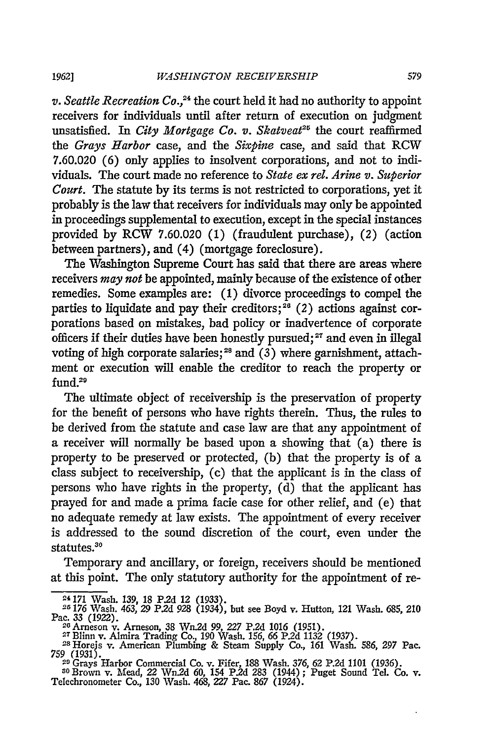**1962]**

v. Seattle Recreation Co.,<sup>24</sup> the court held it had no authority to appoint receivers for individuals until after return of execution on judgment unsatisfied. In *City Mortgage Co. v. Skatveat*<sup>25</sup> the court reaffirmed *the Grays Harbor* case, and the *Sixpine* case, and said that RCW 7.60.020 (6) only applies to insolvent corporations, and not to individuals. The court made no reference to *State ex rel. Arine v. Superior Court.* The statute by its terms is not restricted to corporations, yet it probably is the law that receivers for individuals may only be appointed in proceedings supplemental to execution, except in the special instances provided by RCW 7.60.020 (1) (fraudulent purchase), (2) (action between partners), and (4) (mortgage foreclosure).

The Washington Supreme Court has said that there are areas where receivers *may not* be appointed, mainly because of the existence of other remedies. Some examples are: (1) divorce proceedings to compel the parties to liquidate and pay their creditors;<sup>26</sup> (2) actions against corporations based on mistakes, bad policy or inadvertence of corporate officers if their duties have been honestly pursued; **27** and even in illegal voting of high corporate salaries;<sup>28</sup> and  $(3)$  where garnishment, attachment or execution will enable the creditor to reach the property or fund.<sup>29</sup>

The ultimate object of receivership is the preservation of property for the benefit of persons who have rights therein. Thus, the rules to be derived from the statute and case law are that any appointment of a receiver will normally be based upon a showing that (a) there is property to be preserved or protected, (b) that the property is of a class subject to receivership, (c) that the applicant is in the class of persons who have rights in the property, (d) that the applicant has prayed for and made a prima facie case for other relief, and (e) that no adequate remedy at law exists. The appointment of every receiver is addressed to the sound discretion of the court, even under the statutes.<sup>30</sup>

Temporary and ancillary, or foreign, receivers should be mentioned at this point. The only statutory authority for the appointment of re-

<sup>24171</sup> Wash. 139, 18 P2d 12 **(1933).**

**<sup>26176</sup>** Wash. 463, *29* P.2d 928 (1934), but see Boyd v. Hutton, 121 Wash. **685,** *210* Pac. 33 (1922).<br>
<sup>26</sup> Arneson v. Arneson, 38 Wn.2d 99, 227 P.2d 1016 (1951).<br>
<sup>26</sup> Arneson v. Amin's Trading Co., 190 Wash, 156, 66 P.2d 1132 (1937).<br>
<sup>28</sup> Horeis v. American Plumbing & Steam Supply Co. 161 Wash. 586, 297

<sup>759 (1931).</sup> <sup>20</sup>Grays Harbor Commercial Co. v. Fifer, 188 Wash. 376, 62 P.2d 1101 (1936).

**<sup>80</sup>**Brown v. Mfead, *22* Wn.2d 60, 154 P.2d 283 (1944); Puget Sound Tel. Co. v. Telechronometer Co., 130 Wash. 468, 227 Pac. 867 (1924).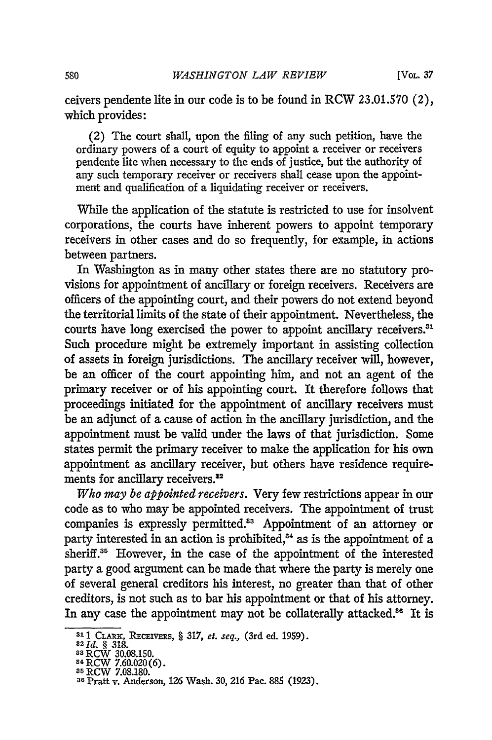ceivers pendente lite in our code is to be found in RCW 23.01.570 (2), which provides:

(2) The court shall, upon the filing of any such petition, have the ordinary powers of a court of equity to appoint a receiver or receivers pendente lite when necessary to the ends of justice, but the authority of any such temporary receiver or receivers shall cease upon the appointment and qualification of a liquidating receiver or receivers.

While the application of the statute is restricted to use for insolvent corporations, the courts have inherent powers to appoint temporary receivers in other cases and do so frequently, for example, in actions between partners.

In Washington as in many other states there are no statutory provisions for appointment of ancillary or foreign receivers. Receivers are officers of the appointing court, and their powers do not extend beyond the territorial limits of the state of their appointment. Nevertheless, the courts have long exercised the power to appoint ancillary receivers." Such procedure might be extremely important in assisting collection of assets in foreign jurisdictions. The ancillary receiver will, however, be an officer of the court appointing him, and not an agent of the primary receiver or of his appointing court. It therefore follows that proceedings initiated for the appointment of ancillary receivers must be an adjunct of a cause of action in the ancillary jurisdiction, and the appointment must be valid under the laws of that jurisdiction. Some states permit the primary receiver to make the application for his own appointment as ancillary receiver, but others have residence requirements for ancillary receivers.<sup>32</sup>

*Who may be appointed receivers.* Very few restrictions appear in our code as to who may be appointed receivers. The appointment of trust companies is expressly permitted.<sup>33</sup> Appointment of an attorney or party interested in an action is prohibited,<sup>34</sup> as is the appointment of a sheriff.<sup>35</sup> However, in the case of the appointment of the interested party a good argument can be made that where the party is merely one of several general creditors his interest, no greater than that of other creditors, is not such as to bar his appointment or that of his attorney. In any case the appointment may not be collaterally attacked.<sup>86</sup> It is

**<sup>31 1</sup> CLARE, RECEIVERS, § 317,** *et. seq.,* **(3rd ed. 1959).<br><sup>32</sup>** *Id.* **§ 318.<br><sup>33</sup> RCW 30.08.150.** 

<sup>&</sup>lt;sup>34</sup> RCW 7.60.020(6).<br><sup>35</sup> DCW 7.09.190

<sup>5</sup>RCW 7.08.180. **<sup>36</sup>**Pratt v. Anderson, 126 Wash. **30,** 216 Pac. 885 (1923).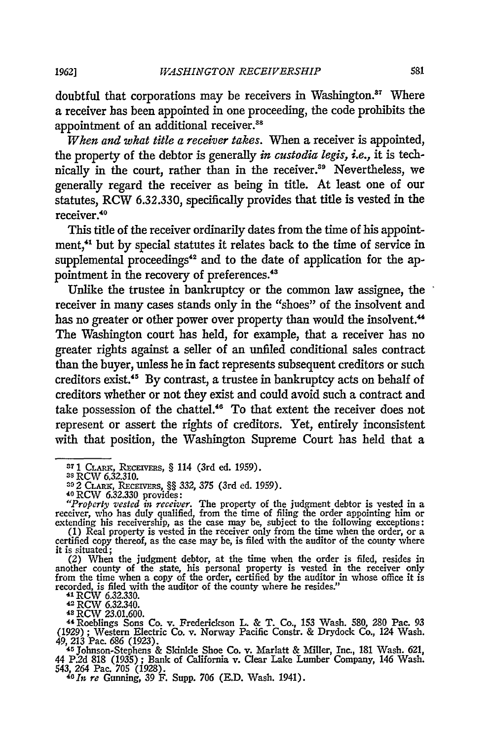doubtful that corporations may be receivers in Washington.<sup>37</sup> Where a receiver has been appointed in one proceeding, the code prohibits the appointment of an additional receiver.<sup>38</sup>

*When and what title a receiver takes.* When a receiver is appointed, the property of the debtor is generally *in custodia legis, i.e.,* it is technically in the court, rather than in the receiver.<sup>39</sup> Nevertheless, we generally regard the receiver as being in title. At least one of our statutes, RCW 6.32.330, specifically provides that title is vested in the receiver.<sup>40</sup>

This title of the receiver ordinarily dates from the time of his appointment,<sup>41</sup> but by special statutes it relates back to the time of service in supplemental proceedings<sup>42</sup> and to the date of application for the appointment in the recovery of preferences.<sup>43</sup>

Unlike the trustee in bankruptcy or the common law assignee, the receiver in many cases stands only in the "shoes" of the insolvent and has no greater or other power over property than would the insolvent.<sup>44</sup> The Washington court has held, for example, that a receiver has no greater rights against a seller of an unfiled conditional sales contract than the buyer, unless he in fact represents subsequent creditors or such creditors exist.<sup>45</sup> By contrast, a trustee in bankruptcy acts on behalf of creditors whether or not they exist and could avoid such a contract and take possession of the chattel." To that extent the receiver does not represent or assert the rights of creditors. Yet, entirely inconsistent with that position, the Washington Supreme Court has held that a

another county of the state, his personal property is vested in the receiver only from the time when a copy of the order, certified by the auditor in whose office it is recorded, is filed with the auditor of the county where he resides."<br>
<sup>41</sup> RCW 6.32.330.<br>
<sup>42</sup> RCW 6.32.340.<br>
<sup>43</sup> RCW 23.01.600.

*1962]*

**<sup>37</sup>**1 **CLA , REcEIVERS,** § 114 (3rd ed. 1959).

**<sup>38</sup>**RCW 6.32.310.

<sup>&</sup>lt;sup>33</sup> RCW 6.32.310.<br>
<sup>33</sup> RCW 6.32.310.<br>
40 RCW 6.32.330 provides:<br>
40 RCW 6.32.330 provides:<br> *40* RCW 6.32.330 provides:<br> *40* RCW 6.32.330 provides:<br> *40* RCW 6.32.330 provides:<br> *40* RCW 6.32.330 provides:<br> *40* RCW 6.

it is situated; (2) When the judgment debtor, at the time when the order is filed, resides in

<sup>&</sup>quot;4 Roeblings Sons Co. v. Frederickson L. & T. Co., 153 Wash. 580, 280 Pac. 93 (1929) ; Western Electric Co. v. Norway Pacific Constr. & Drydock Co., 124 Wash. 49, 213 Pac. 686 (1923). **<sup>45</sup>**Johnson-Stephens & Skinkle Shoe Co. v. Marlatt & Miller, Inc., 181 Wash. 621,

<sup>44</sup> P.2d 818 (1935) ; Bank of California v. Clear Lake Lumber Company, 146 Wash. 543, *264* Pac. 705 (1928). *<sup>4</sup> <sup>0</sup> 1n re* Gunning, 39 F. Supp. 706 (E.D. Wash. 1941).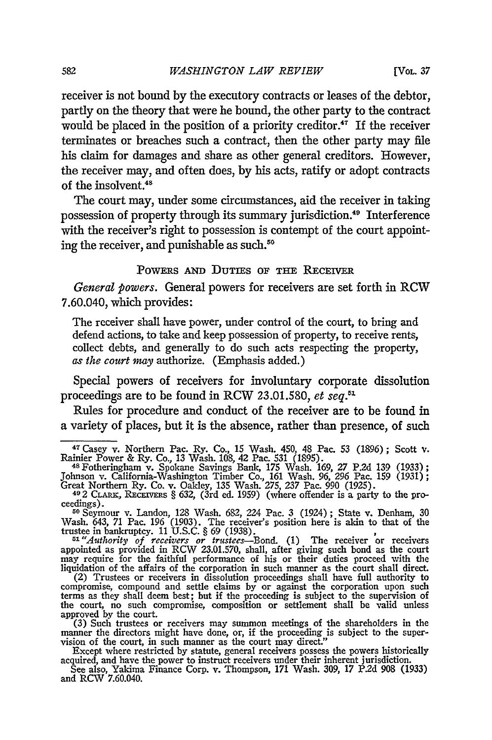receiver is not bound **by** the executory contracts or leases of the debtor, partly on the theory that were he bound, the other party to the contract would be placed in the position of a priority creditor.<sup>47</sup> If the receiver terminates or breaches such a contract, then the other party may file his claim for damages and share as other general creditors. However, the receiver may, and often does, **by** his acts, ratify or adopt contracts of the insolvent.<sup>48</sup>

The court may, under some circumstances, aid the receiver in taking possession of property through its summary jurisdiction." Interference with the receiver's right to possession is contempt of the court appointing the receiver, and punishable as such.<sup>50</sup>

#### POWERS AND DUTIES OF THE RECEIVER

*General powers.* General powers for receivers are set forth in RCW 7.60.040, which provides:

The receiver shall have power, under control of the court, to bring and defend actions, to take and keep possession of property, to receive rents, collect debts, and generally to do such acts respecting the property, *as the court may* authorize. (Emphasis added.)

Special powers of receivers for involuntary corporate dissolution proceedings are to be found in RCW **23.01.580,** *et seq. <sup>1</sup>*

Rules for procedure and conduct of the receiver are to be found in a variety of places, but it is the absence, rather than presence, of such

ceedings).<br>
<sup>50</sup> Seymour v. Landon, 128 Wash. 682, 224 Pac. 3 (1924); State v. Denham, 30<br>
Wash. 643, 71 Pac. 196 (1903). The receiver's position here is akin to that of the<br>
trustee in bankruptcy. 11 U.S.C. § 69 (1938).

<sup>51</sup> "Authority of receivers or trustees—Bond. (1) The receiver or receivers appointed as provided in RCW 23.01.570, shall, after giving such bond as the court may require for the faithful performance of his or their duti

compromise, compound and settle claims **by** or against the corporation upon such terms as they shall deem best; but if the proceeding is subject to the supervision of the court, no such compromise, composition or settlement shall be valid unless approved **by** the court.

 $(3)$  Such trustees or receivers may summon meetings of the shareholders in the manner the directors might have done, or, if the proceeding is subject to the supervision of the court, in such manner as the court may direct."

Except where restricted by statute, general receivers possess the powers historically acquired, and have the power to instruct receivers under their inherent jurisdiction.<br>See also, Yakima Finance Corp. v. Thompson, 171 Wa

<sup>4</sup> 7 Casey v. Northern Pac. Ry. Co., 15 Wash. 450, 48 Pac. 53 (1896); Scott v. Rainier Power & Ry. Co., 13 Wash. 108, 42 Pac. 531 (1895). <sup>4</sup> 8 Fotheringham v. Spokane Savings Bank, 175 Wash. 169, *27* P.2d 139 (1933);

Johnson v. California-Washington Timber Co., 161 Wash. 96, 296 Pac. 159 (1931); Great Northern Ry. Co. v. Oakley, 135 Wash. 275, 237 Pac. 990 (1925). 49 2 CLARK, RECEIVERS § 632, (3rd ed. 1959) (where offender is a party to the pro-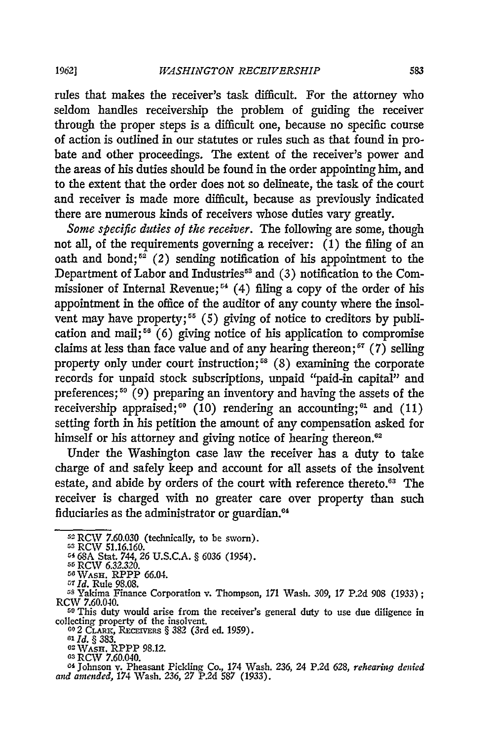rules that makes the receiver's task difficult. For the attorney who seldom handles receivership the problem of guiding the receiver through the proper steps is a difficult one, because no specific course of action is outlined in our statutes or rules such as that found in probate and other proceedings. The extent of the receiver's power and the areas of his duties should be found in the order appointing him, and to the extent that the order does not so delineate, the task of the court and receiver is made more difficult, because as previously indicated there are numerous kinds of receivers whose duties vary greatly.

*Some specific duties of the receiver.* The following are some, though not all, of the requirements governing a receiver: (1) the filing of an oath and bond;<sup> $52$ </sup> (2) sending notification of his appointment to the Department of Labor and Industries<sup>53</sup> and (3) notification to the Commissioner of Internal Revenue; **"'** (4) filing a copy of the order of his appointment in the office of the auditor of any county where the insolvent may have property;<sup>55</sup> (5) giving of notice to creditors by publication and mail;<sup>56</sup> (6) giving notice of his application to compromise claims at less than face value and of any hearing thereon;<sup> $57$ </sup> (7) selling property only under court instruction;<sup>58</sup> (8) examining the corporate records for unpaid stock subscriptions, unpaid "paid-in capital" and preferences;<sup>59</sup> (9) preparing an inventory and having the assets of the receivership appraised;<sup>60</sup> (10) rendering an accounting;<sup>61</sup> and (11) setting forth in his petition the amount of any compensation asked for himself or his attorney and giving notice of hearing thereon.<sup>62</sup>

Under the Washington case law the receiver has a duty to take charge of and safely keep and account for all assets of the insolvent estate, and abide by orders of the court with reference thereto.<sup>63</sup> The receiver is charged with no greater care over property than such fiduciaries as the administrator or guardian.<sup>64</sup>

55 RCW 6.32.320.<br>56 Wash. RPPP 66.04.

**<sup>52</sup>**RCW 7.60.030 (technically, to be sworn).

<sup>53</sup> RCW 51.16.160.

r4 68A Stat. 744, 26 U.S.C.A. § 6036 (1954).

<sup>57</sup>**Id.** Rule 98.08.

<sup>58</sup> Yakima Finance Corporation v. Thompson, 171 Wash. 309, 17 P.2d 908 (1933); RCW 7.60.040. **<sup>6</sup>**This duty would arise from the receiver's general duty to use due diligence in

collecting property of the insolvent.<br>
<sup>60</sup> 2 CLARK, RECEIVERS § 382 (3rd ed. 1959)<br>
<sup>61</sup> *Id.* § 383.<br>
<sup>62</sup> WASH. RPPP 98.12.<br>
<sup>63</sup> RCW 7.60.040.

**<sup>04</sup>**Johnson v. Pheasant Pickling Co., 174 Wash. 236, 24 P.2d 628, *rehearing denied and amended,* 174 Wash. 236, 27 P.2d 587 (1933).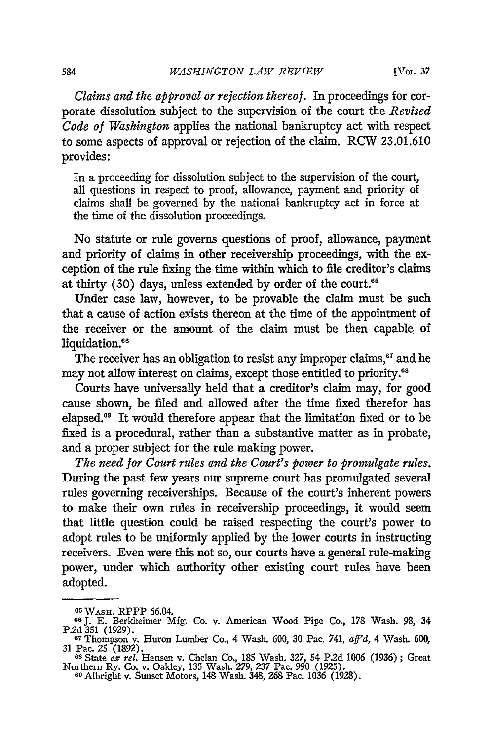*Claims and the approval or rejection thereof.* In proceedings for corporate dissolution subject to the supervision of the court the *Revised Code of Washington* applies the national bankruptcy act with respect to some aspects of approval or rejection of the claim. RCW 23.01.610 provides:

In a proceeding for dissolution subject to the supervision of the court, all questions in respect to proof, allowance, payment and priority of claims shall be governed by the national bankruptcy act in force at the time of the dissolution proceedings.

No statute or rule governs questions of proof, allowance, payment and priority of claims in other receivership proceedings, with the exception of the rule fixing the time within which to file creditor's claims at thirty  $(30)$  days, unless extended by order of the court.<sup>65</sup>

Under case law, however, to be provable the claim must be such that a cause of action exists thereon at the time of the appointment of the receiver or the amount of the claim must be then capable of liquidation.<sup>66</sup>

The receiver has an obligation to resist any improper claims, $e^{i\tau}$  and he may not allow interest on claims, except those entitled to priority.<sup>68</sup>

Courts have universally held that a creditor's claim may, for good cause shown, be filed and allowed after the time fixed therefor has elapsed. 9 It would therefore appear that the limitation fixed or to be fixed is a procedural, rather than a substantive matter as in probate, and a proper subject for the rule making power.

*The need for Court rules and the Court's power to promulgate rules.* During the past few years our supreme court has promulgated several rules governing receiverships. Because of the court's inherent powers to make their own rules in receivership proceedings, it would seem that little question could be raised respecting the court's power to adopt rules to be uniformly applied by the lower courts in instructing receivers. Even were this not so, our courts have a general rule-making power, under which authority other existing court rules have been adopted.

<sup>&</sup>lt;sup>65</sup> W<sub>ASH</sub>, RPPP 66.04.

**<sup>66</sup> J.** E. Berkheimer Mfg. Co. v. American Wood Pipe Co., 178 Wash. 98, 34 **P.2d** 351 (1929). **<sup>67</sup>**Thompson v. Huron Lumber Co., 4 Wash. 600, 30 Pac. 741, *aff'd,* 4 Wash. 600,

<sup>31</sup> Pac. 25 (1892). **<sup>68</sup>**State *cx rel.* Hansen v. Chelan Co., 185 Wash. 327, 54 **P.2d** 1006 (1936) ; Great

Northern Ry. Co. v. Oakley, 135 Wash. 279, 237 Pac. 990 (1925). **<sup>69</sup>**Albright v. Sunset Motors, 148 Wash. 348, 268 Pac. 1036 (1928).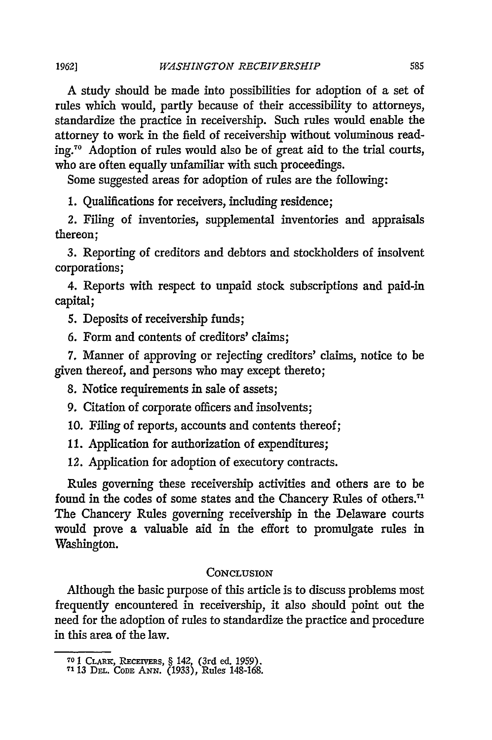A study should be made into possibilities for adoption of a set of rules which would, partly because of their accessibility to attorneys, standardize the practice in receivership. Such rules would enable the attorney to work in the field of receivership without voluminous reading."0 Adoption of rules would also be of great aid to the trial courts, who are often equally unfamiliar with such proceedings.

Some suggested areas for adoption of rules are the following:

1. Qualifications for receivers, including residence;

*2.* Filing of inventories, supplemental inventories and appraisals thereon;

3. Reporting of creditors and debtors and stockholders of insolvent corporations;

4. Reports with respect to unpaid stock subscriptions and paid-in capital;

5. Deposits of receivership funds;

6. Form and contents of creditors' claims;

7. Manner of approving or rejecting creditors' claims, notice to be given thereof, and persons who may except thereto;

8. Notice requirements in sale of assets;

9. Citation of corporate officers and insolvents;

10. Filing of reports, accounts and contents thereof;

11. Application for authorization of expenditures;

12. Application for adoption of executory contracts.

Rules governing these receivership activities and others are to be found in the codes of some states and the Chancery Rules of others.' The Chancery Rules governing receivership in the Delaware courts would prove a valuable aid in the effort to promulgate rules in Washington.

## **CONCLUSION**

Although the basic purpose of this article is to discuss problems most frequently encountered in receivership, it also should point out the need for the adoption of rules to standardize the practice and procedure in this area of the law.

**<sup>70</sup>**1 **CLARic, RECEIVERS,** § 142, (3rd ed. 1959).

**<sup>7&#</sup>x27;** 13 Dm. **CODE** *ANN.* (1933), Rules 148-168.